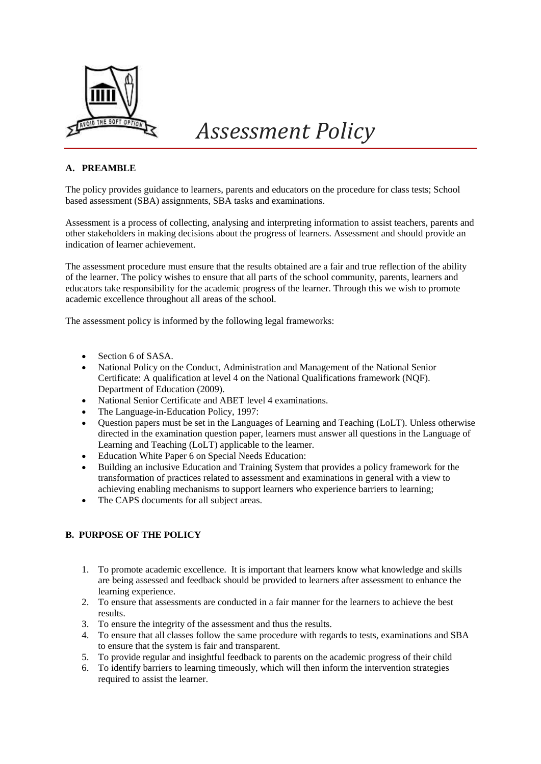

# *Assessment Policy*

# **A. PREAMBLE**

The policy provides guidance to learners, parents and educators on the procedure for class tests; School based assessment (SBA) assignments, SBA tasks and examinations.

Assessment is a process of collecting, analysing and interpreting information to assist teachers, parents and other stakeholders in making decisions about the progress of learners. Assessment and should provide an indication of learner achievement.

The assessment procedure must ensure that the results obtained are a fair and true reflection of the ability of the learner. The policy wishes to ensure that all parts of the school community, parents, learners and educators take responsibility for the academic progress of the learner. Through this we wish to promote academic excellence throughout all areas of the school.

The assessment policy is informed by the following legal frameworks:

- Section 6 of SASA.
- National Policy on the Conduct, Administration and Management of the National Senior Certificate: A qualification at level 4 on the National Qualifications framework (NQF). Department of Education (2009).
- National Senior Certificate and ABET level 4 examinations.
- The Language-in-Education Policy, 1997:
- Question papers must be set in the Languages of Learning and Teaching (LoLT). Unless otherwise directed in the examination question paper, learners must answer all questions in the Language of Learning and Teaching (LoLT) applicable to the learner.
- Education White Paper 6 on Special Needs Education:
- Building an inclusive Education and Training System that provides a policy framework for the transformation of practices related to assessment and examinations in general with a view to achieving enabling mechanisms to support learners who experience barriers to learning;
- The CAPS documents for all subject areas.

# **B. PURPOSE OF THE POLICY**

- 1. To promote academic excellence. It is important that learners know what knowledge and skills are being assessed and feedback should be provided to learners after assessment to enhance the learning experience.
- 2. To ensure that assessments are conducted in a fair manner for the learners to achieve the best results.
- 3. To ensure the integrity of the assessment and thus the results.
- 4. To ensure that all classes follow the same procedure with regards to tests, examinations and SBA to ensure that the system is fair and transparent.
- 5. To provide regular and insightful feedback to parents on the academic progress of their child
- 6. To identify barriers to learning timeously, which will then inform the intervention strategies required to assist the learner.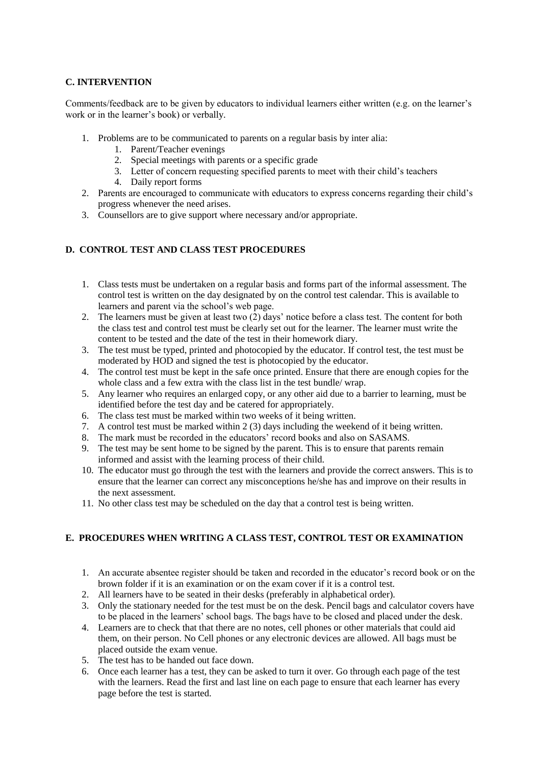## **C. INTERVENTION**

Comments/feedback are to be given by educators to individual learners either written (e.g. on the learner's work or in the learner's book) or verbally.

- 1. Problems are to be communicated to parents on a regular basis by inter alia:
	- 1. Parent/Teacher evenings
	- 2. Special meetings with parents or a specific grade
	- 3. Letter of concern requesting specified parents to meet with their child's teachers
	- 4. Daily report forms
- 2. Parents are encouraged to communicate with educators to express concerns regarding their child's progress whenever the need arises.
- 3. Counsellors are to give support where necessary and/or appropriate.

## **D. CONTROL TEST AND CLASS TEST PROCEDURES**

- 1. Class tests must be undertaken on a regular basis and forms part of the informal assessment. The control test is written on the day designated by on the control test calendar. This is available to learners and parent via the school's web page.
- 2. The learners must be given at least two (2) days' notice before a class test. The content for both the class test and control test must be clearly set out for the learner. The learner must write the content to be tested and the date of the test in their homework diary.
- 3. The test must be typed, printed and photocopied by the educator. If control test, the test must be moderated by HOD and signed the test is photocopied by the educator.
- 4. The control test must be kept in the safe once printed. Ensure that there are enough copies for the whole class and a few extra with the class list in the test bundle/ wrap.
- 5. Any learner who requires an enlarged copy, or any other aid due to a barrier to learning, must be identified before the test day and be catered for appropriately.
- 6. The class test must be marked within two weeks of it being written.
- 7. A control test must be marked within 2 (3) days including the weekend of it being written.
- 8. The mark must be recorded in the educators' record books and also on SASAMS.
- 9. The test may be sent home to be signed by the parent. This is to ensure that parents remain informed and assist with the learning process of their child.
- 10. The educator must go through the test with the learners and provide the correct answers. This is to ensure that the learner can correct any misconceptions he/she has and improve on their results in the next assessment.
- 11. No other class test may be scheduled on the day that a control test is being written.

# **E. PROCEDURES WHEN WRITING A CLASS TEST, CONTROL TEST OR EXAMINATION**

- 1. An accurate absentee register should be taken and recorded in the educator's record book or on the brown folder if it is an examination or on the exam cover if it is a control test.
- 2. All learners have to be seated in their desks (preferably in alphabetical order).
- 3. Only the stationary needed for the test must be on the desk. Pencil bags and calculator covers have to be placed in the learners' school bags. The bags have to be closed and placed under the desk.
- 4. Learners are to check that that there are no notes, cell phones or other materials that could aid them, on their person. No Cell phones or any electronic devices are allowed. All bags must be placed outside the exam venue.
- 5. The test has to be handed out face down.
- 6. Once each learner has a test, they can be asked to turn it over. Go through each page of the test with the learners. Read the first and last line on each page to ensure that each learner has every page before the test is started.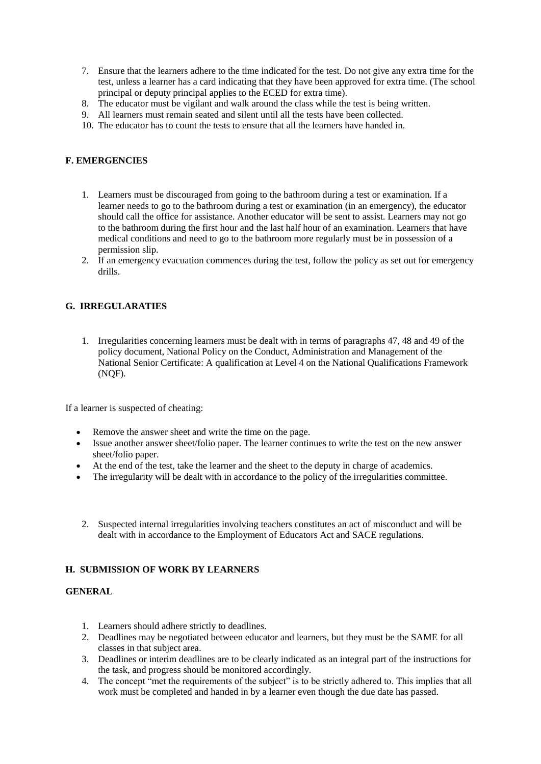- 7. Ensure that the learners adhere to the time indicated for the test. Do not give any extra time for the test, unless a learner has a card indicating that they have been approved for extra time. (The school principal or deputy principal applies to the ECED for extra time).
- 8. The educator must be vigilant and walk around the class while the test is being written.
- 9. All learners must remain seated and silent until all the tests have been collected.
- 10. The educator has to count the tests to ensure that all the learners have handed in.

## **F. EMERGENCIES**

- 1. Learners must be discouraged from going to the bathroom during a test or examination. If a learner needs to go to the bathroom during a test or examination (in an emergency), the educator should call the office for assistance. Another educator will be sent to assist. Learners may not go to the bathroom during the first hour and the last half hour of an examination. Learners that have medical conditions and need to go to the bathroom more regularly must be in possession of a permission slip.
- 2. If an emergency evacuation commences during the test, follow the policy as set out for emergency drills.

#### **G. IRREGULARATIES**

1. Irregularities concerning learners must be dealt with in terms of paragraphs 47, 48 and 49 of the policy document, National Policy on the Conduct, Administration and Management of the National Senior Certificate: A qualification at Level 4 on the National Qualifications Framework (NQF).

If a learner is suspected of cheating:

- Remove the answer sheet and write the time on the page.
- Issue another answer sheet/folio paper. The learner continues to write the test on the new answer sheet/folio paper.
- At the end of the test, take the learner and the sheet to the deputy in charge of academics.
- The irregularity will be dealt with in accordance to the policy of the irregularities committee.
- 2. Suspected internal irregularities involving teachers constitutes an act of misconduct and will be dealt with in accordance to the Employment of Educators Act and SACE regulations.

#### **H. SUBMISSION OF WORK BY LEARNERS**

## **GENERAL**

- 1. Learners should adhere strictly to deadlines.
- 2. Deadlines may be negotiated between educator and learners, but they must be the SAME for all classes in that subject area.
- 3. Deadlines or interim deadlines are to be clearly indicated as an integral part of the instructions for the task, and progress should be monitored accordingly.
- 4. The concept "met the requirements of the subject" is to be strictly adhered to. This implies that all work must be completed and handed in by a learner even though the due date has passed.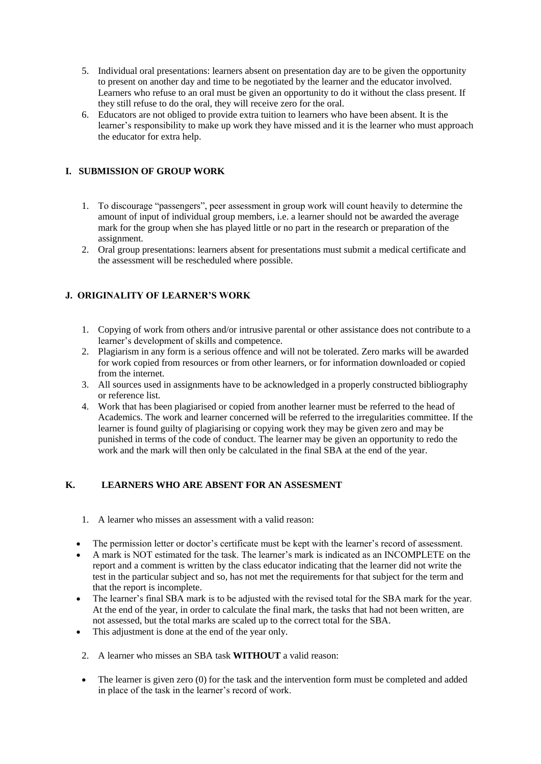- 5. Individual oral presentations: learners absent on presentation day are to be given the opportunity to present on another day and time to be negotiated by the learner and the educator involved. Learners who refuse to an oral must be given an opportunity to do it without the class present. If they still refuse to do the oral, they will receive zero for the oral.
- 6. Educators are not obliged to provide extra tuition to learners who have been absent. It is the learner's responsibility to make up work they have missed and it is the learner who must approach the educator for extra help.

# **I. SUBMISSION OF GROUP WORK**

- 1. To discourage "passengers", peer assessment in group work will count heavily to determine the amount of input of individual group members, i.e. a learner should not be awarded the average mark for the group when she has played little or no part in the research or preparation of the assignment.
- 2. Oral group presentations: learners absent for presentations must submit a medical certificate and the assessment will be rescheduled where possible.

## **J. ORIGINALITY OF LEARNER'S WORK**

- 1. Copying of work from others and/or intrusive parental or other assistance does not contribute to a learner's development of skills and competence.
- 2. Plagiarism in any form is a serious offence and will not be tolerated. Zero marks will be awarded for work copied from resources or from other learners, or for information downloaded or copied from the internet.
- 3. All sources used in assignments have to be acknowledged in a properly constructed bibliography or reference list.
- 4. Work that has been plagiarised or copied from another learner must be referred to the head of Academics. The work and learner concerned will be referred to the irregularities committee. If the learner is found guilty of plagiarising or copying work they may be given zero and may be punished in terms of the code of conduct. The learner may be given an opportunity to redo the work and the mark will then only be calculated in the final SBA at the end of the year.

## **K. LEARNERS WHO ARE ABSENT FOR AN ASSESMENT**

- 1. A learner who misses an assessment with a valid reason:
- The permission letter or doctor's certificate must be kept with the learner's record of assessment.
- A mark is NOT estimated for the task. The learner's mark is indicated as an INCOMPLETE on the report and a comment is written by the class educator indicating that the learner did not write the test in the particular subject and so, has not met the requirements for that subject for the term and that the report is incomplete.
- The learner's final SBA mark is to be adjusted with the revised total for the SBA mark for the year. At the end of the year, in order to calculate the final mark, the tasks that had not been written, are not assessed, but the total marks are scaled up to the correct total for the SBA.
- This adjustment is done at the end of the year only.
- 2. A learner who misses an SBA task **WITHOUT** a valid reason:
- The learner is given zero (0) for the task and the intervention form must be completed and added in place of the task in the learner's record of work.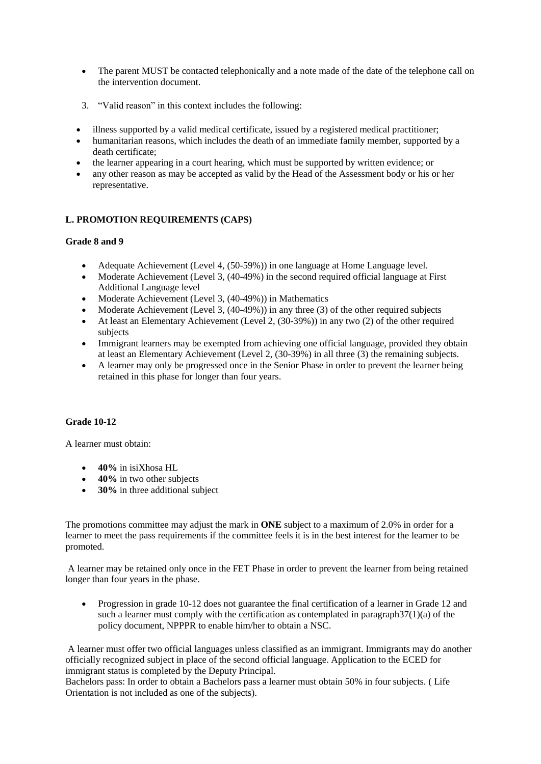- The parent MUST be contacted telephonically and a note made of the date of the telephone call on the intervention document.
- 3. "Valid reason" in this context includes the following:
- illness supported by a valid medical certificate, issued by a registered medical practitioner;
- humanitarian reasons, which includes the death of an immediate family member, supported by a death certificate;
- the learner appearing in a court hearing, which must be supported by written evidence; or
- any other reason as may be accepted as valid by the Head of the Assessment body or his or her representative.

# **L. PROMOTION REQUIREMENTS (CAPS)**

## **Grade 8 and 9**

- Adequate Achievement (Level 4, (50-59%)) in one language at Home Language level.
- Moderate Achievement (Level 3, (40-49%) in the second required official language at First Additional Language level
- Moderate Achievement (Level 3, (40-49%)) in Mathematics
- Moderate Achievement (Level 3,  $(40-49%)$ ) in any three (3) of the other required subjects
- $\bullet$  At least an Elementary Achievement (Level 2, (30-39%)) in any two (2) of the other required subjects
- Immigrant learners may be exempted from achieving one official language, provided they obtain at least an Elementary Achievement (Level 2, (30-39%) in all three (3) the remaining subjects.
- A learner may only be progressed once in the Senior Phase in order to prevent the learner being retained in this phase for longer than four years.

## **Grade 10-12**

A learner must obtain:

- **40%** in isiXhosa HL
- 40% in two other subjects
- **30%** in three additional subject

The promotions committee may adjust the mark in **ONE** subject to a maximum of 2.0% in order for a learner to meet the pass requirements if the committee feels it is in the best interest for the learner to be promoted.

A learner may be retained only once in the FET Phase in order to prevent the learner from being retained longer than four years in the phase.

• Progression in grade 10-12 does not guarantee the final certification of a learner in Grade 12 and such a learner must comply with the certification as contemplated in paragraph37(1)(a) of the policy document, NPPPR to enable him/her to obtain a NSC.

A learner must offer two official languages unless classified as an immigrant. Immigrants may do another officially recognized subject in place of the second official language. Application to the ECED for immigrant status is completed by the Deputy Principal.

Bachelors pass: In order to obtain a Bachelors pass a learner must obtain 50% in four subjects. ( Life Orientation is not included as one of the subjects).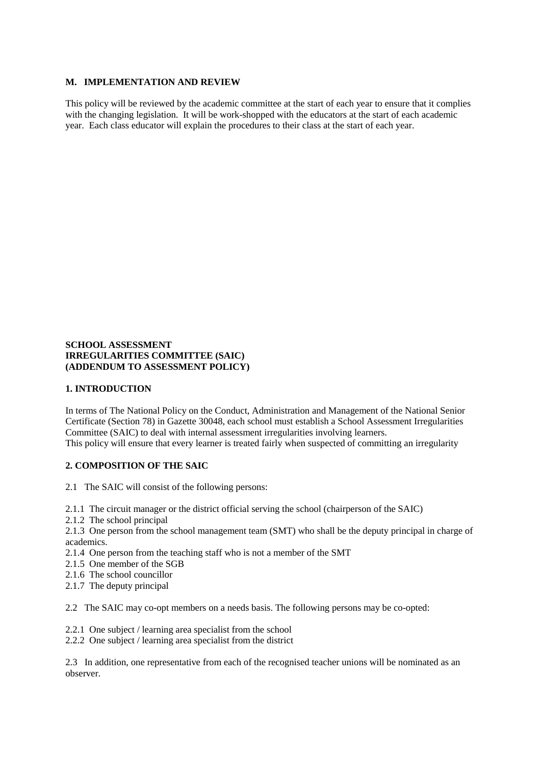#### **M. IMPLEMENTATION AND REVIEW**

This policy will be reviewed by the academic committee at the start of each year to ensure that it complies with the changing legislation. It will be work-shopped with the educators at the start of each academic year. Each class educator will explain the procedures to their class at the start of each year.

## **SCHOOL ASSESSMENT IRREGULARITIES COMMITTEE (SAIC) (ADDENDUM TO ASSESSMENT POLICY)**

#### **1. INTRODUCTION**

In terms of The National Policy on the Conduct, Administration and Management of the National Senior Certificate (Section 78) in Gazette 30048, each school must establish a School Assessment Irregularities Committee (SAIC) to deal with internal assessment irregularities involving learners. This policy will ensure that every learner is treated fairly when suspected of committing an irregularity

## **2. COMPOSITION OF THE SAIC**

- 2.1 The SAIC will consist of the following persons:
- 2.1.1 The circuit manager or the district official serving the school (chairperson of the SAIC)
- 2.1.2 The school principal
- 2.1.3 One person from the school management team (SMT) who shall be the deputy principal in charge of academics.
- 2.1.4 One person from the teaching staff who is not a member of the SMT
- 2.1.5 One member of the SGB
- 2.1.6 The school councillor
- 2.1.7 The deputy principal

2.2 The SAIC may co-opt members on a needs basis. The following persons may be co-opted:

- 2.2.1 One subject / learning area specialist from the school
- 2.2.2 One subject / learning area specialist from the district

2.3 In addition, one representative from each of the recognised teacher unions will be nominated as an observer.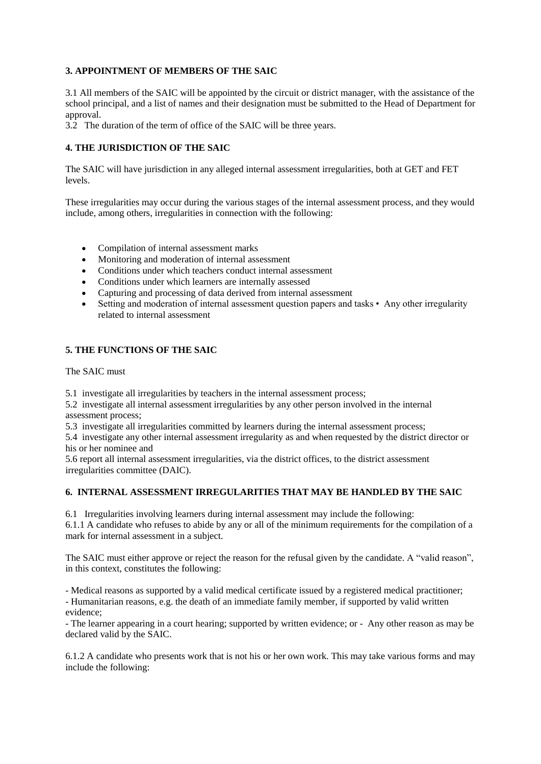## **3. APPOINTMENT OF MEMBERS OF THE SAIC**

3.1 All members of the SAIC will be appointed by the circuit or district manager, with the assistance of the school principal, and a list of names and their designation must be submitted to the Head of Department for approval.

3.2 The duration of the term of office of the SAIC will be three years.

## **4. THE JURISDICTION OF THE SAIC**

The SAIC will have jurisdiction in any alleged internal assessment irregularities, both at GET and FET levels.

These irregularities may occur during the various stages of the internal assessment process, and they would include, among others, irregularities in connection with the following:

- Compilation of internal assessment marks
- Monitoring and moderation of internal assessment
- Conditions under which teachers conduct internal assessment
- Conditions under which learners are internally assessed
- Capturing and processing of data derived from internal assessment
- Setting and moderation of internal assessment question papers and tasks Any other irregularity related to internal assessment

#### **5. THE FUNCTIONS OF THE SAIC**

The SAIC must

5.1 investigate all irregularities by teachers in the internal assessment process;

5.2 investigate all internal assessment irregularities by any other person involved in the internal assessment process;

5.3 investigate all irregularities committed by learners during the internal assessment process;

5.4 investigate any other internal assessment irregularity as and when requested by the district director or his or her nominee and

5.6 report all internal assessment irregularities, via the district offices, to the district assessment irregularities committee (DAIC).

## **6. INTERNAL ASSESSMENT IRREGULARITIES THAT MAY BE HANDLED BY THE SAIC**

6.1 Irregularities involving learners during internal assessment may include the following:

6.1.1 A candidate who refuses to abide by any or all of the minimum requirements for the compilation of a mark for internal assessment in a subject.

The SAIC must either approve or reject the reason for the refusal given by the candidate. A "valid reason", in this context, constitutes the following:

- Medical reasons as supported by a valid medical certificate issued by a registered medical practitioner;

- Humanitarian reasons, e.g. the death of an immediate family member, if supported by valid written evidence;

- The learner appearing in a court hearing; supported by written evidence; or - Any other reason as may be declared valid by the SAIC.

6.1.2 A candidate who presents work that is not his or her own work. This may take various forms and may include the following: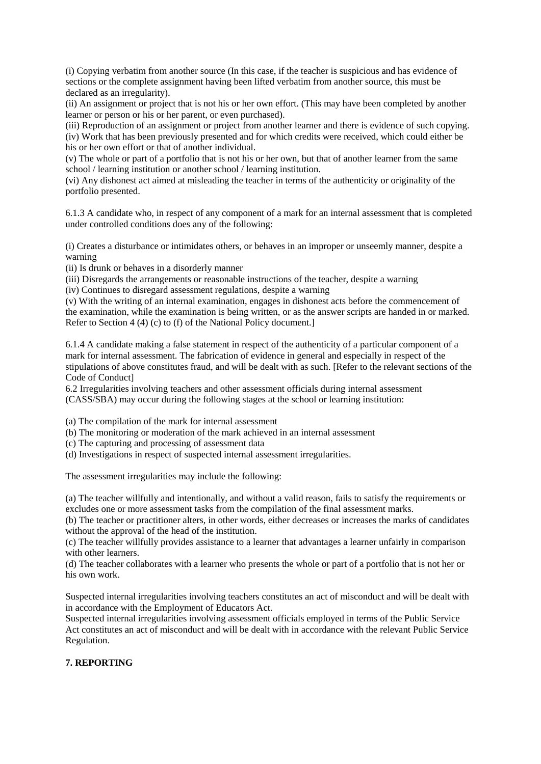(i) Copying verbatim from another source (In this case, if the teacher is suspicious and has evidence of sections or the complete assignment having been lifted verbatim from another source, this must be declared as an irregularity).

(ii) An assignment or project that is not his or her own effort. (This may have been completed by another learner or person or his or her parent, or even purchased).

(iii) Reproduction of an assignment or project from another learner and there is evidence of such copying. (iv) Work that has been previously presented and for which credits were received, which could either be his or her own effort or that of another individual.

(v) The whole or part of a portfolio that is not his or her own, but that of another learner from the same school / learning institution or another school / learning institution.

(vi) Any dishonest act aimed at misleading the teacher in terms of the authenticity or originality of the portfolio presented.

6.1.3 A candidate who, in respect of any component of a mark for an internal assessment that is completed under controlled conditions does any of the following:

(i) Creates a disturbance or intimidates others, or behaves in an improper or unseemly manner, despite a warning

(ii) Is drunk or behaves in a disorderly manner

(iii) Disregards the arrangements or reasonable instructions of the teacher, despite a warning

(iv) Continues to disregard assessment regulations, despite a warning

(v) With the writing of an internal examination, engages in dishonest acts before the commencement of the examination, while the examination is being written, or as the answer scripts are handed in or marked. Refer to Section 4 (4) (c) to (f) of the National Policy document.]

6.1.4 A candidate making a false statement in respect of the authenticity of a particular component of a mark for internal assessment. The fabrication of evidence in general and especially in respect of the stipulations of above constitutes fraud, and will be dealt with as such. [Refer to the relevant sections of the Code of Conduct]

6.2 Irregularities involving teachers and other assessment officials during internal assessment (CASS/SBA) may occur during the following stages at the school or learning institution:

(a) The compilation of the mark for internal assessment

- (b) The monitoring or moderation of the mark achieved in an internal assessment
- (c) The capturing and processing of assessment data

(d) Investigations in respect of suspected internal assessment irregularities.

The assessment irregularities may include the following:

(a) The teacher willfully and intentionally, and without a valid reason, fails to satisfy the requirements or excludes one or more assessment tasks from the compilation of the final assessment marks.

(b) The teacher or practitioner alters, in other words, either decreases or increases the marks of candidates without the approval of the head of the institution.

(c) The teacher willfully provides assistance to a learner that advantages a learner unfairly in comparison with other learners.

(d) The teacher collaborates with a learner who presents the whole or part of a portfolio that is not her or his own work.

Suspected internal irregularities involving teachers constitutes an act of misconduct and will be dealt with in accordance with the Employment of Educators Act.

Suspected internal irregularities involving assessment officials employed in terms of the Public Service Act constitutes an act of misconduct and will be dealt with in accordance with the relevant Public Service Regulation.

# **7. REPORTING**